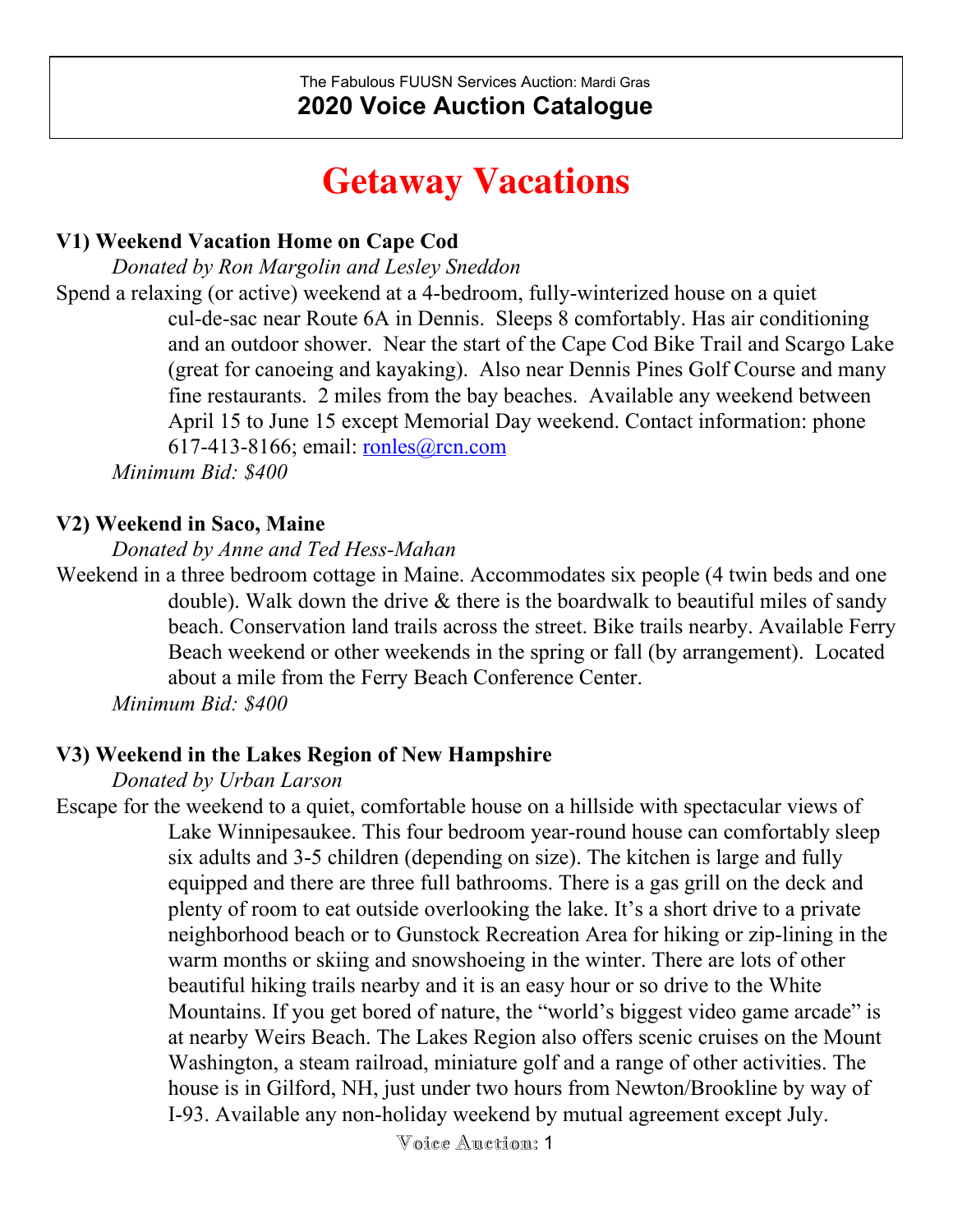# **Getaway Vacations**

### **V1) Weekend Vacation Home on Cape Cod**

*Donated by Ron Margolin and Lesley Sneddon*

Spend a relaxing (or active) weekend at a 4-bedroom, fully-winterized house on a quiet cul-de-sac near Route 6A in Dennis. Sleeps 8 comfortably. Has air conditioning and an outdoor shower. Near the start of the Cape Cod Bike Trail and Scargo Lake (great for canoeing and kayaking). Also near Dennis Pines Golf Course and many fine restaurants. 2 miles from the bay beaches. Available any weekend between April 15 to June 15 except Memorial Day weekend. Contact information: phone 617-413-8166; email: [ronles@rcn.com](mailto:ronles@rcn.com)

*Minimum Bid: \$400*

#### **V2) Weekend in Saco, Maine**

*Donated by Anne and Ted Hess-Mahan*

Weekend in a three bedroom cottage in Maine. Accommodates six people (4 twin beds and one double). Walk down the drive & there is the boardwalk to beautiful miles of sandy beach. Conservation land trails across the street. Bike trails nearby. Available Ferry Beach weekend or other weekends in the spring or fall (by arrangement). Located about a mile from the Ferry Beach Conference Center.

*Minimum Bid: \$400*

#### **V3) Weekend in the Lakes Region of New Hampshire**

*Donated by Urban Larson*

Escape for the weekend to a quiet, comfortable house on a hillside with spectacular views of Lake Winnipesaukee. This four bedroom year-round house can comfortably sleep six adults and 3-5 children (depending on size). The kitchen is large and fully equipped and there are three full bathrooms. There is a gas grill on the deck and plenty of room to eat outside overlooking the lake. It's a short drive to a private neighborhood beach or to Gunstock Recreation Area for hiking or zip-lining in the warm months or skiing and snowshoeing in the winter. There are lots of other beautiful hiking trails nearby and it is an easy hour or so drive to the White Mountains. If you get bored of nature, the "world's biggest video game arcade" is at nearby Weirs Beach. The Lakes Region also offers scenic cruises on the Mount Washington, a steam railroad, miniature golf and a range of other activities. The house is in Gilford, NH, just under two hours from Newton/Brookline by way of I-93. Available any non-holiday weekend by mutual agreement except July.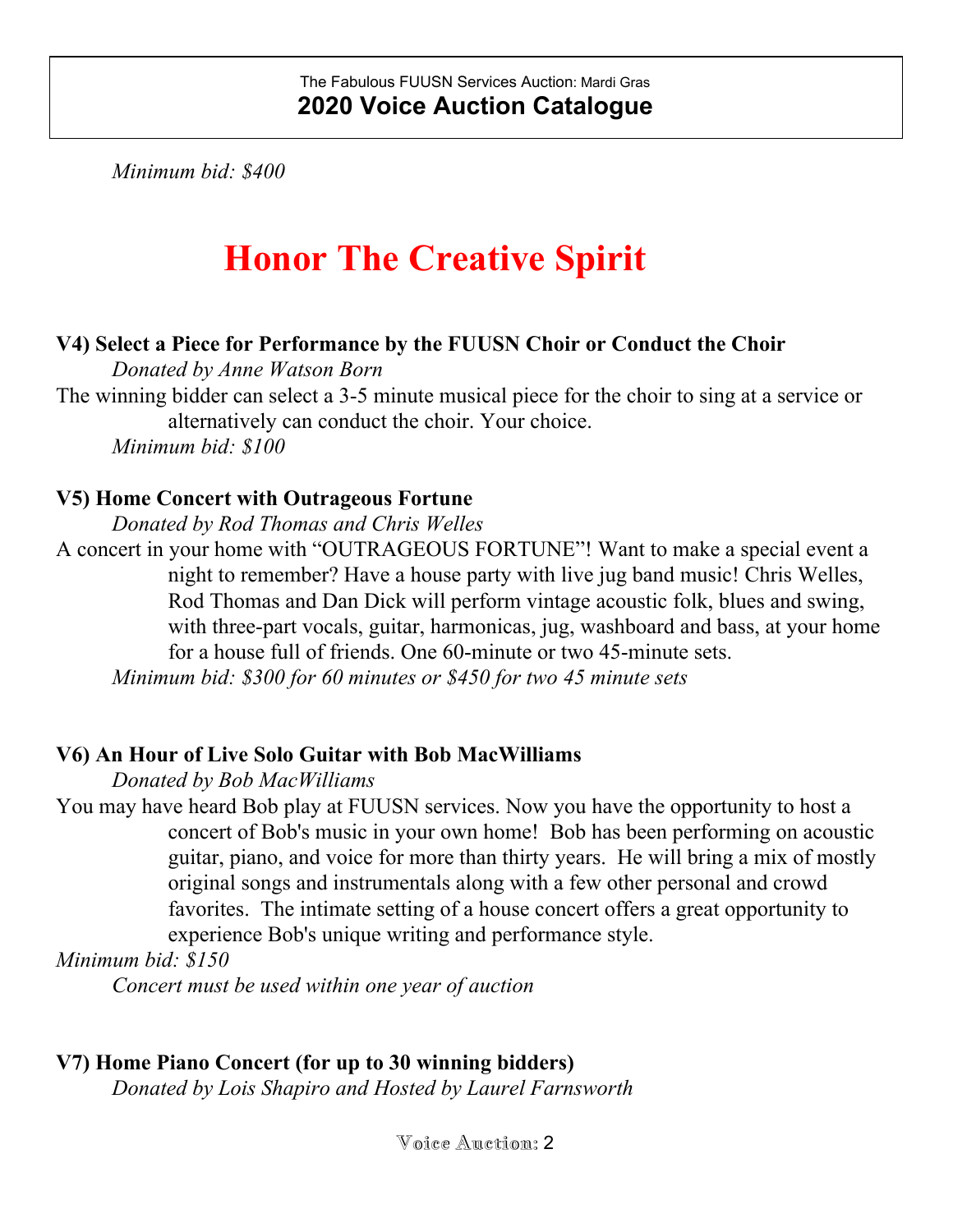*Minimum bid: \$400*

# **Honor The Creative Spirit**

### **V4) Select a Piece for Performance by the FUUSN Choir or Conduct the Choir**

*Donated by Anne Watson Born*

The winning bidder can select a 3-5 minute musical piece for the choir to sing at a service or alternatively can conduct the choir. Your choice. *Minimum bid: \$100*

## **V5) Home Concert with Outrageous Fortune**

*Donated by Rod Thomas and Chris Welles*

A concert in your home with "OUTRAGEOUS FORTUNE"! Want to make a special event a night to remember? Have a house party with live jug band music! Chris Welles, Rod Thomas and Dan Dick will perform vintage acoustic folk, blues and swing, with three-part vocals, guitar, harmonicas, jug, washboard and bass, at your home for a house full of friends. One 60-minute or two 45-minute sets. *Minimum bid: \$300 for 60 minutes or \$450 for two 45 minute sets*

## **V6) An Hour of Live Solo Guitar with Bob MacWilliams**

*Donated by Bob MacWilliams*

You may have heard Bob play at FUUSN services. Now you have the opportunity to host a concert of Bob's music in your own home! Bob has been performing on acoustic guitar, piano, and voice for more than thirty years. He will bring a mix of mostly original songs and instrumentals along with a few other personal and crowd favorites. The intimate setting of a house concert offers a great opportunity to experience Bob's unique writing and performance style.

*Minimum bid: \$150*

*Concert must be used within one year of auction*

## **V7) Home Piano Concert (for up to 30 winning bidders)**

*Donated by Lois Shapiro and Hosted by Laurel Farnsworth*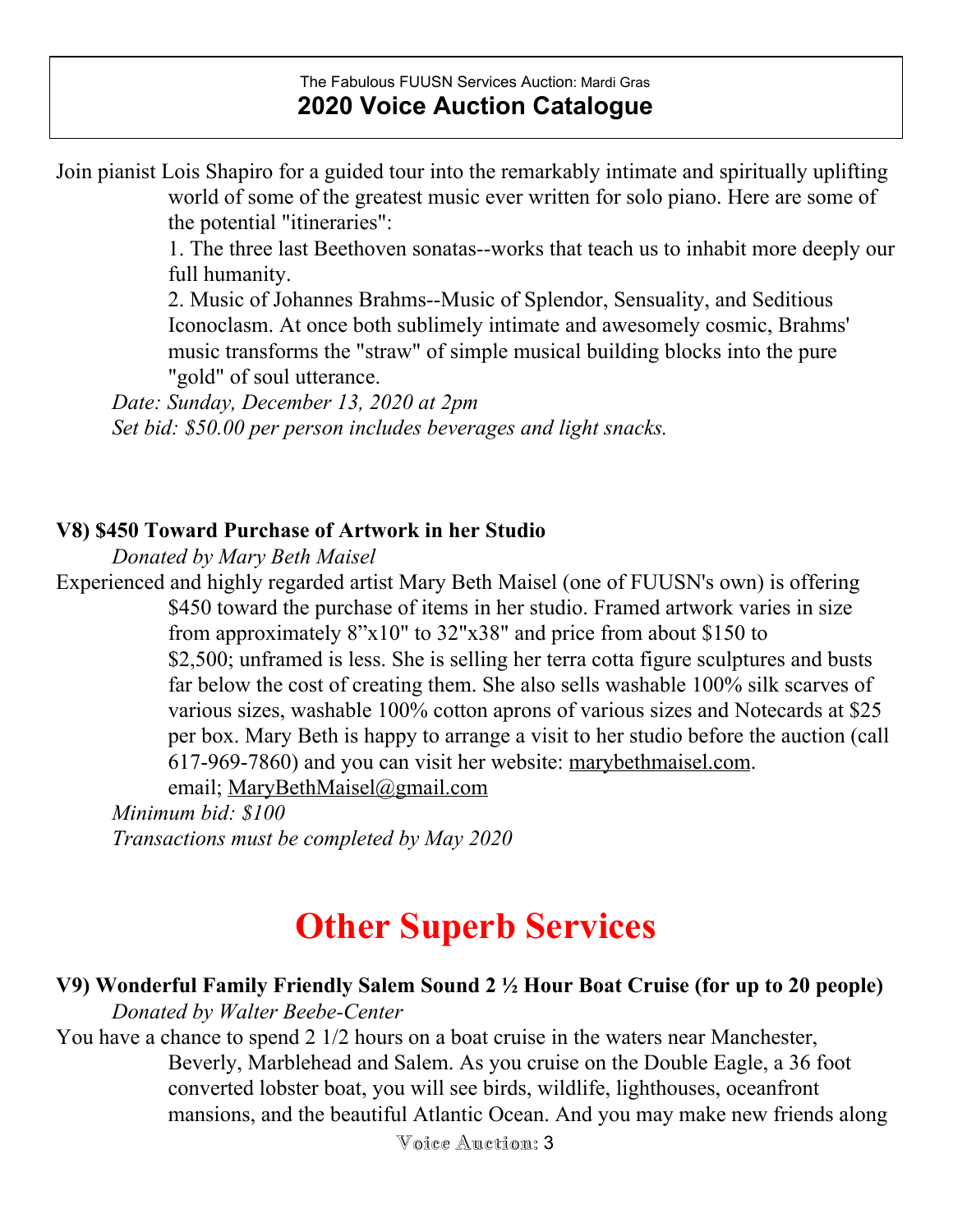Join pianist Lois Shapiro for a guided tour into the remarkably intimate and spiritually uplifting world of some of the greatest music ever written for solo piano. Here are some of the potential "itineraries":

> 1. The three last Beethoven sonatas--works that teach us to inhabit more deeply our full humanity.

2. Music of Johannes Brahms--Music of Splendor, Sensuality, and Seditious Iconoclasm. At once both sublimely intimate and awesomely cosmic, Brahms' music transforms the "straw" of simple musical building blocks into the pure "gold" of soul utterance.

*Date: Sunday, December 13, 2020 at 2pm Set bid: \$50.00 per person includes beverages and light snacks.*

#### **V8) \$450 Toward Purchase of Artwork in her Studio**

*Donated by Mary Beth Maisel*

Experienced and highly regarded artist Mary Beth Maisel (one of FUUSN's own) is offering \$450 toward the purchase of items in her studio. Framed artwork varies in size from approximately 8"x10" to 32"x38" and price from about \$150 to \$2,500; unframed is less. She is selling her terra cotta figure sculptures and busts far below the cost of creating them. She also sells washable 100% silk scarves of various sizes, washable 100% cotton aprons of various sizes and Notecards at \$25 per box. Mary Beth is happy to arrange a visit to her studio before the auction (call 617-969-7860) and you can visit her website: [marybethmaisel.com](http://marybethmaisel.com/).

email; [MaryBethMaisel@gmail.com](mailto:MaryBethMaisel@gmail.com)

*Minimum bid: \$100 Transactions must be completed by May 2020*

# **Other Superb Services**

# **V9) Wonderful Family Friendly Salem Sound 2 ½ Hour Boat Cruise (for up to 20 people)**

*Donated by Walter Beebe-Center* You have a chance to spend 2 1/2 hours on a boat cruise in the waters near Manchester, Beverly, Marblehead and Salem. As you cruise on the Double Eagle, a 36 foot converted lobster boat, you will see birds, wildlife, lighthouses, oceanfront mansions, and the beautiful Atlantic Ocean. And you may make new friends along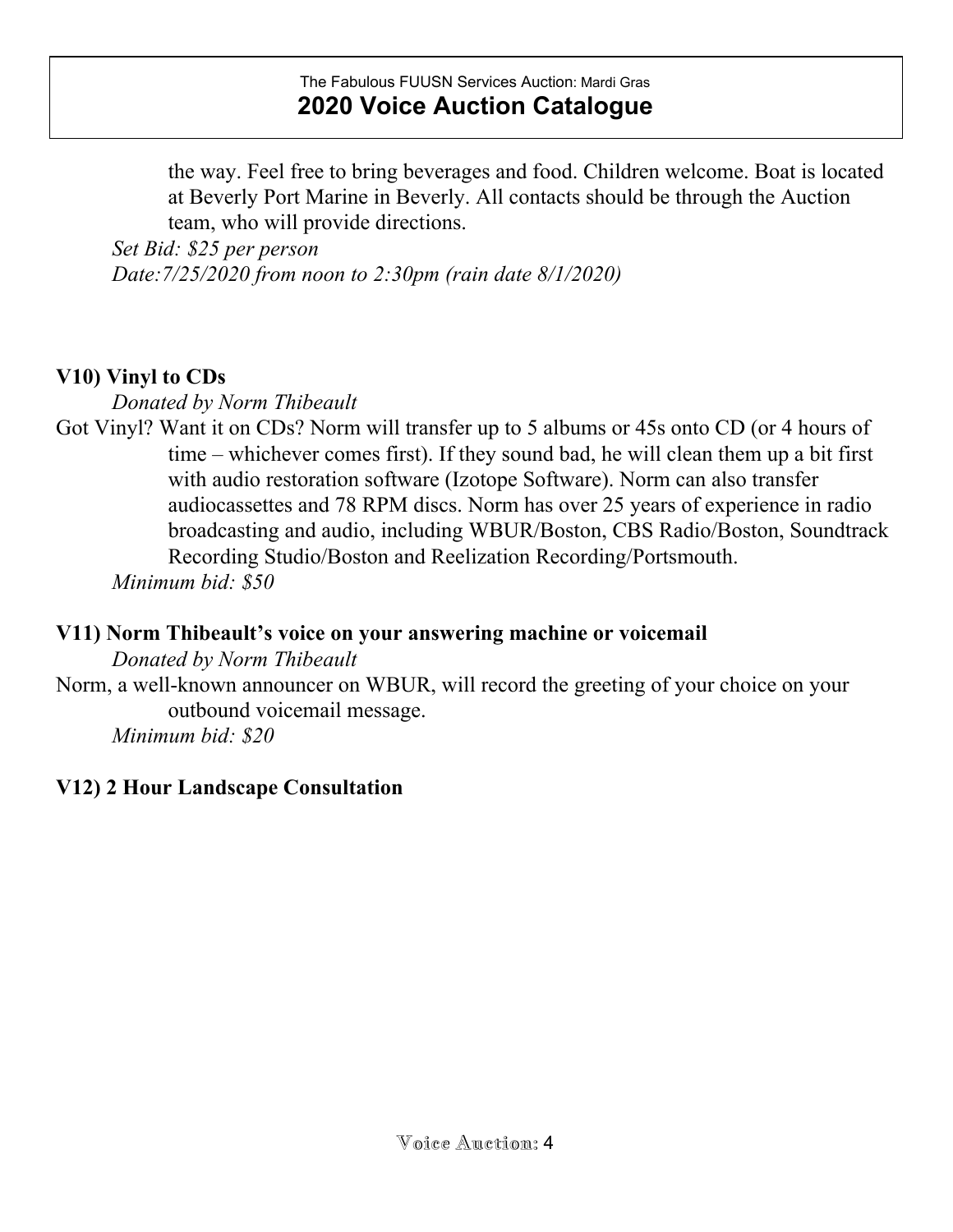the way. Feel free to bring beverages and food. Children welcome. Boat is located at Beverly Port Marine in Beverly. All contacts should be through the Auction team, who will provide directions.

*Set Bid: \$25 per person Date:7/25/2020 from noon to 2:30pm (rain date 8/1/2020)*

## **V10) Vinyl to CDs**

*Donated by Norm Thibeault*

Got Vinyl? Want it on CDs? Norm will transfer up to 5 albums or 45s onto CD (or 4 hours of time – whichever comes first). If they sound bad, he will clean them up a bit first with audio restoration software (Izotope Software). Norm can also transfer audiocassettes and 78 RPM discs. Norm has over 25 years of experience in radio broadcasting and audio, including WBUR/Boston, CBS Radio/Boston, Soundtrack Recording Studio/Boston and Reelization Recording/Portsmouth.

*Minimum bid: \$50*

#### **V11) Norm Thibeault's voice on your answering machine or voicemail**

*Donated by Norm Thibeault*

Norm, a well-known announcer on WBUR, will record the greeting of your choice on your outbound voicemail message.

*Minimum bid: \$20*

## **V12) 2 Hour Landscape Consultation**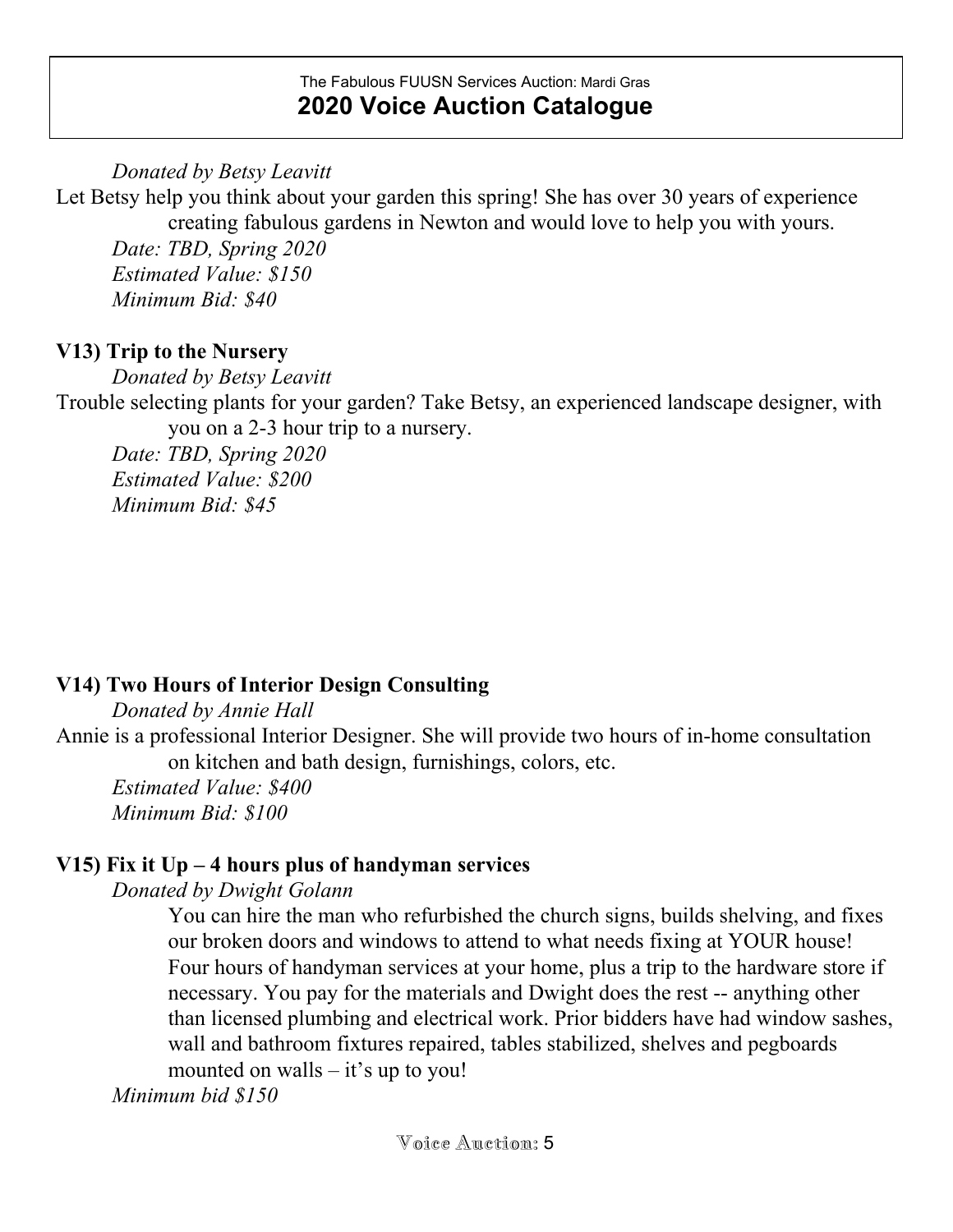*Donated by Betsy Leavitt*

Let Betsy help you think about your garden this spring! She has over 30 years of experience creating fabulous gardens in Newton and would love to help you with yours. *Date: TBD, Spring 2020 Estimated Value: \$150 Minimum Bid: \$40*

## **V13) Trip to the Nursery**

*Donated by Betsy Leavitt*

Trouble selecting plants for your garden? Take Betsy, an experienced landscape designer, with you on a 2-3 hour trip to a nursery.

*Date: TBD, Spring 2020 Estimated Value: \$200 Minimum Bid: \$45*

# **V14) Two Hours of Interior Design Consulting**

*Donated by Annie Hall*

Annie is a professional Interior Designer. She will provide two hours of in-home consultation on kitchen and bath design, furnishings, colors, etc.

*Estimated Value: \$400 Minimum Bid: \$100*

# **V15) Fix it Up – 4 hours plus of handyman services**

*Donated by Dwight Golann*

You can hire the man who refurbished the church signs, builds shelving, and fixes our broken doors and windows to attend to what needs fixing at YOUR house! Four hours of handyman services at your home, plus a trip to the hardware store if necessary. You pay for the materials and Dwight does the rest -- anything other than licensed plumbing and electrical work. Prior bidders have had window sashes, wall and bathroom fixtures repaired, tables stabilized, shelves and pegboards mounted on walls – it's up to you!

*Minimum bid \$150*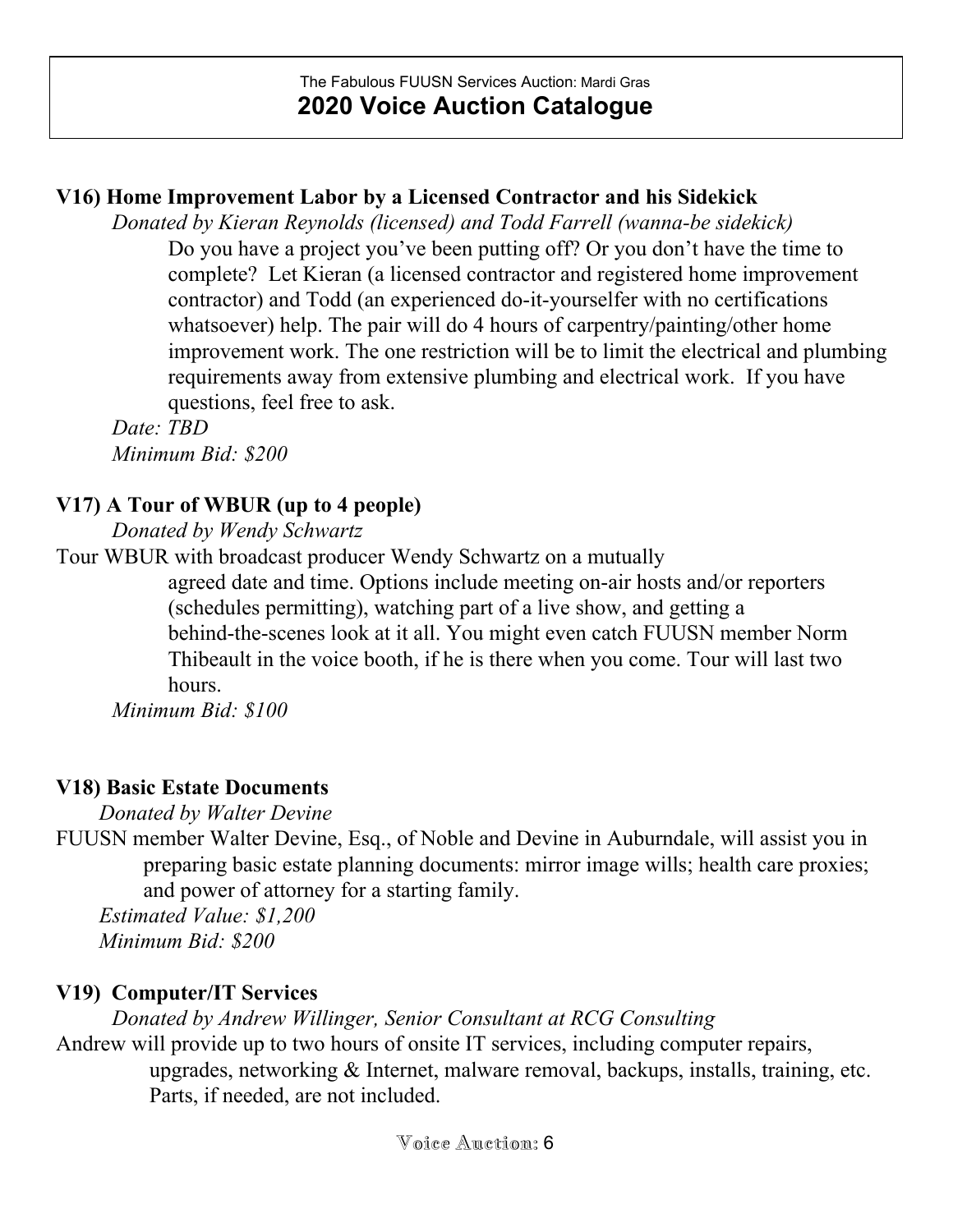# **V16) Home Improvement Labor by a Licensed Contractor and his Sidekick**

*Donated by Kieran Reynolds (licensed) and Todd Farrell (wanna-be sidekick)* Do you have a project you've been putting off? Or you don't have the time to complete? Let Kieran (a licensed contractor and registered home improvement contractor) and Todd (an experienced do-it-yourselfer with no certifications whatsoever) help. The pair will do 4 hours of carpentry/painting/other home improvement work. The one restriction will be to limit the electrical and plumbing requirements away from extensive plumbing and electrical work. If you have questions, feel free to ask.

*Date: TBD Minimum Bid: \$200*

# **V17) A Tour of WBUR (up to 4 people)**

*Donated by Wendy Schwartz*

Tour WBUR with broadcast producer Wendy Schwartz on a mutually

agreed date and time. Options include meeting on-air hosts and/or reporters (schedules permitting), watching part of a live show, and getting a behind-the-scenes look at it all. You might even catch FUUSN member Norm Thibeault in the voice booth, if he is there when you come. Tour will last two hours.

*Minimum Bid: \$100*

# **V18) Basic Estate Documents**

*Donated by Walter Devine*

FUUSN member Walter Devine, Esq., of Noble and Devine in Auburndale, will assist you in preparing basic estate planning documents: mirror image wills; health care proxies; and power of attorney for a starting family.

*Estimated Value: \$1,200 Minimum Bid: \$200*

# **V19) Computer/IT Services**

*Donated by Andrew Willinger, Senior Consultant at RCG Consulting*

Andrew will provide up to two hours of onsite IT services, including computer repairs,

upgrades, networking & Internet, malware removal, backups, installs, training, etc. Parts, if needed, are not included.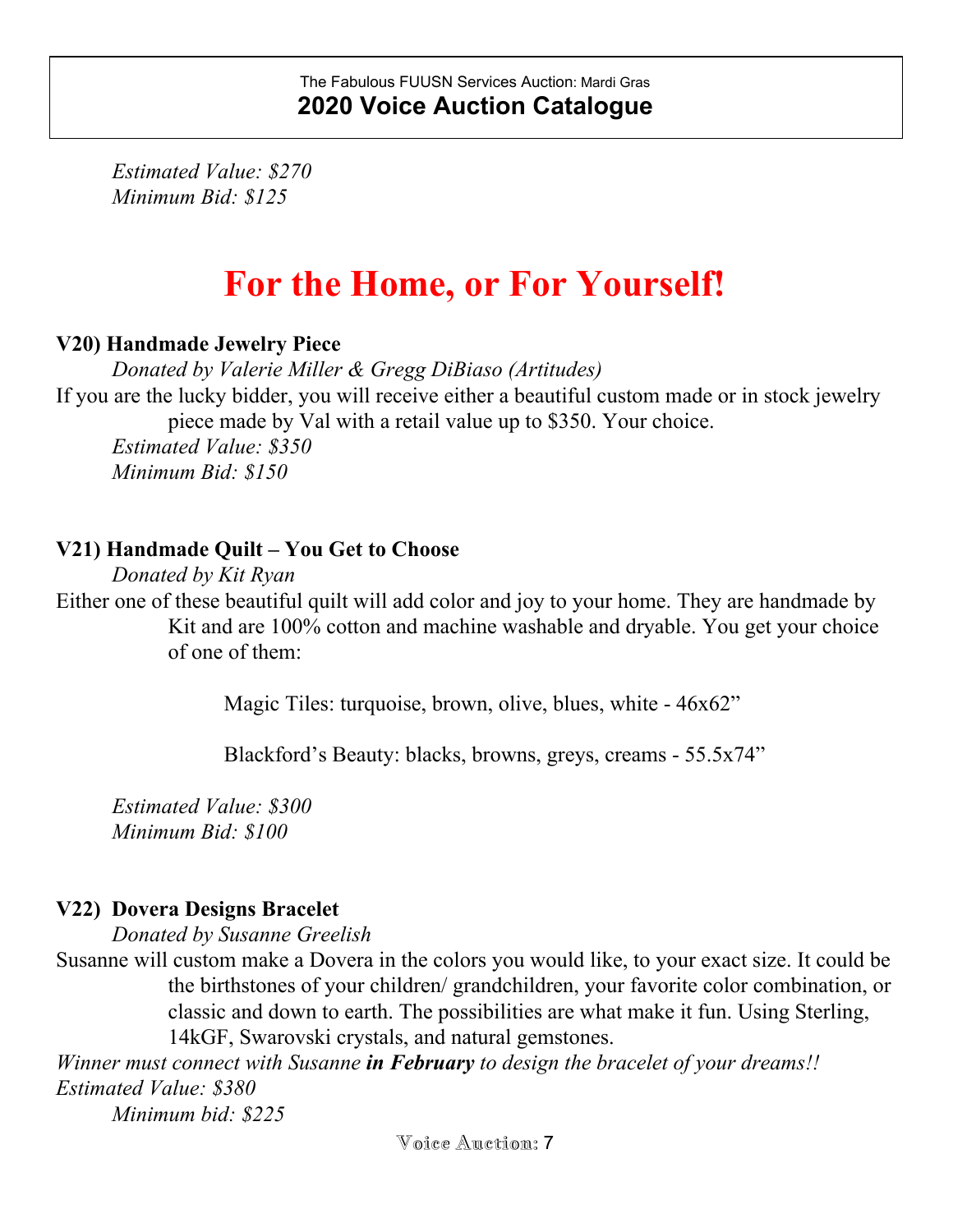*Estimated Value: \$270 Minimum Bid: \$125*

# **For the Home, or For Yourself!**

## **V20) Handmade Jewelry Piece**

*Donated by Valerie Miller & Gregg DiBiaso (Artitudes)* If you are the lucky bidder, you will receive either a beautiful custom made or in stock jewelry piece made by Val with a retail value up to \$350. Your choice. *Estimated Value: \$350 Minimum Bid: \$150*

## **V21) Handmade Quilt – You Get to Choose**

*Donated by Kit Ryan* Either one of these beautiful quilt will add color and joy to your home. They are handmade by Kit and are 100% cotton and machine washable and dryable. You get your choice of one of them:

Magic Tiles: turquoise, brown, olive, blues, white - 46x62"

Blackford's Beauty: blacks, browns, greys, creams - 55.5x74"

*Estimated Value: \$300 Minimum Bid: \$100*

## **V22) Dovera Designs Bracelet**

*Donated by Susanne Greelish*

Susanne will custom make a Dovera in the colors you would like, to your exact size. It could be the birthstones of your children/ grandchildren, your favorite color combination, or classic and down to earth. The possibilities are what make it fun. Using Sterling, 14kGF, Swarovski crystals, and natural gemstones.

*Winner must connect with Susanne in February to design the bracelet of your dreams!! Estimated Value: \$380*

*Minimum bid: \$225*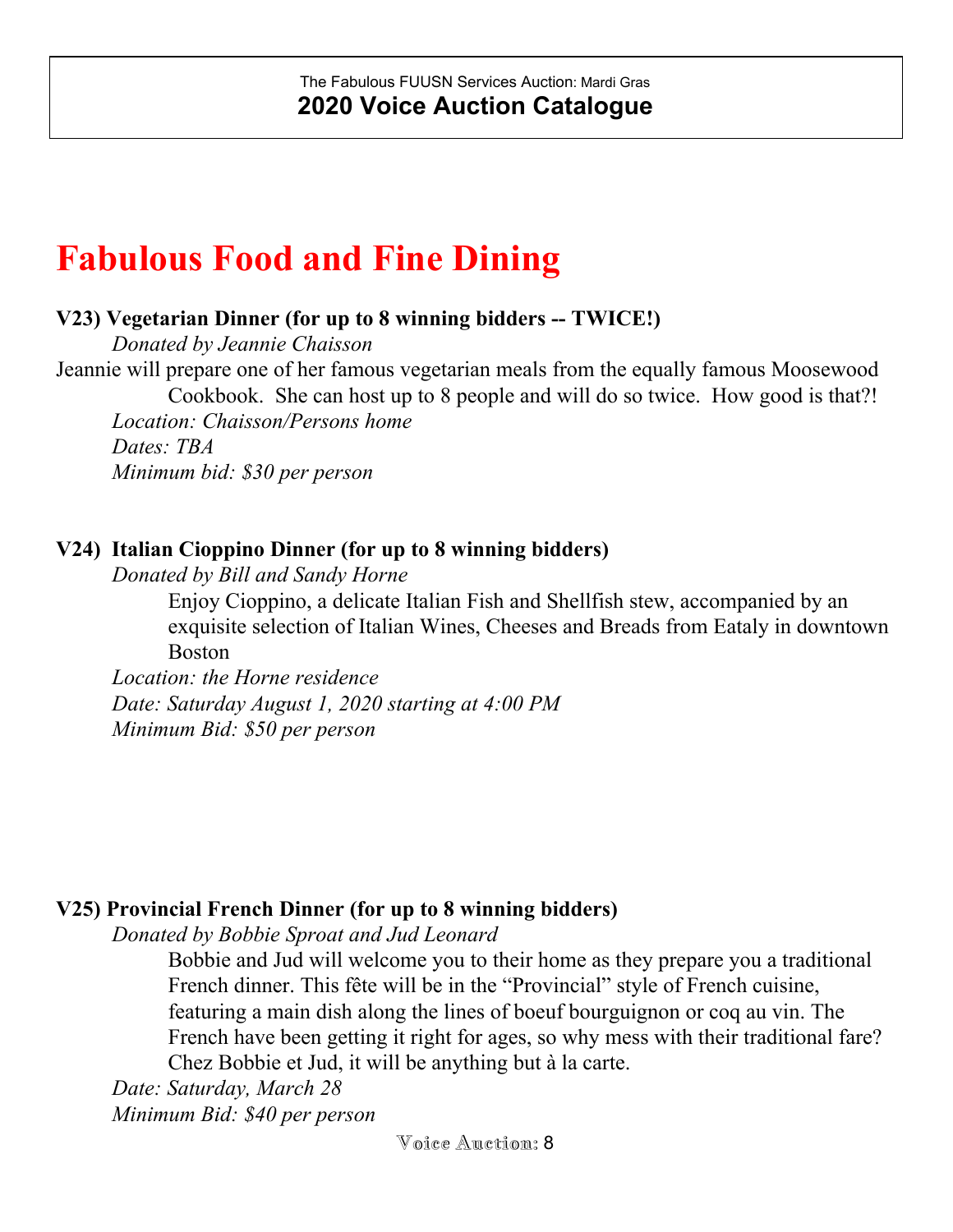# **Fabulous Food and Fine Dining**

### **V23) Vegetarian Dinner (for up to 8 winning bidders -- TWICE!)**

*Donated by Jeannie Chaisson*

Jeannie will prepare one of her famous vegetarian meals from the equally famous Moosewood Cookbook. She can host up to 8 people and will do so twice. How good is that?! *Location: Chaisson/Persons home Dates: TBA Minimum bid: \$30 per person*

### **V24) Italian Cioppino Dinner (for up to 8 winning bidders)**

*Donated by Bill and Sandy Horne*

Enjoy Cioppino, a delicate Italian Fish and Shellfish stew, accompanied by an exquisite selection of Italian Wines, Cheeses and Breads from Eataly in downtown Boston

*Location: the Horne residence Date: Saturday August 1, 2020 starting at 4:00 PM Minimum Bid: \$50 per person*

## **V25) Provincial French Dinner (for up to 8 winning bidders)**

*Donated by Bobbie Sproat and Jud Leonard*

Bobbie and Jud will welcome you to their home as they prepare you a traditional French dinner. This fête will be in the "Provincial" style of French cuisine, featuring a main dish along the lines of boeuf bourguignon or coq au vin. The French have been getting it right for ages, so why mess with their traditional fare? Chez Bobbie et Jud, it will be anything but à la carte.

*Date: Saturday, March 28 Minimum Bid: \$40 per person*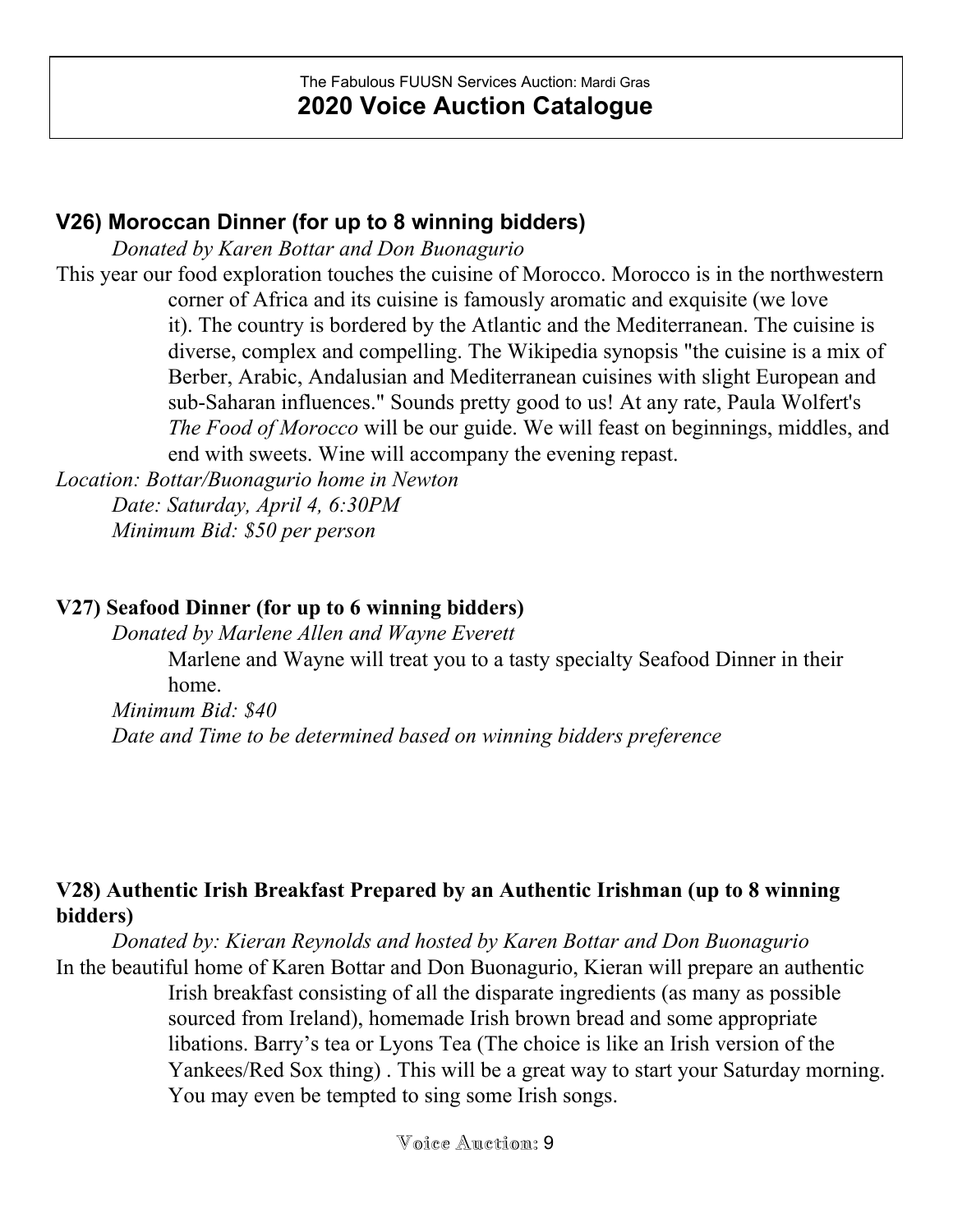## **V26) Moroccan Dinner (for up to 8 winning bidders)**

*Donated by Karen Bottar and Don Buonagurio*

This year our food exploration touches the cuisine of Morocco. Morocco is in the northwestern corner of Africa and its cuisine is famously aromatic and exquisite (we love it). The country is bordered by the Atlantic and the Mediterranean. The cuisine is diverse, complex and compelling. The Wikipedia synopsis "the cuisine is a mix of Berber, Arabic, Andalusian and Mediterranean cuisines with slight European and sub-Saharan influences." Sounds pretty good to us! At any rate, Paula Wolfert's *The Food of Morocco* will be our guide. We will feast on beginnings, middles, and end with sweets. Wine will accompany the evening repast.

*Location: Bottar/Buonagurio home in Newton Date: Saturday, April 4, 6:30PM Minimum Bid: \$50 per person*

## **V27) Seafood Dinner (for up to 6 winning bidders)**

*Donated by Marlene Allen and Wayne Everett*

Marlene and Wayne will treat you to a tasty specialty Seafood Dinner in their home.

*Minimum Bid: \$40 Date and Time to be determined based on winning bidders preference*

## **V28) Authentic Irish Breakfast Prepared by an Authentic Irishman (up to 8 winning bidders)**

*Donated by: Kieran Reynolds and hosted by Karen Bottar and Don Buonagurio* In the beautiful home of Karen Bottar and Don Buonagurio, Kieran will prepare an authentic Irish breakfast consisting of all the disparate ingredients (as many as possible sourced from Ireland), homemade Irish brown bread and some appropriate libations. Barry's tea or Lyons Tea (The choice is like an Irish version of the Yankees/Red Sox thing) . This will be a great way to start your Saturday morning. You may even be tempted to sing some Irish songs.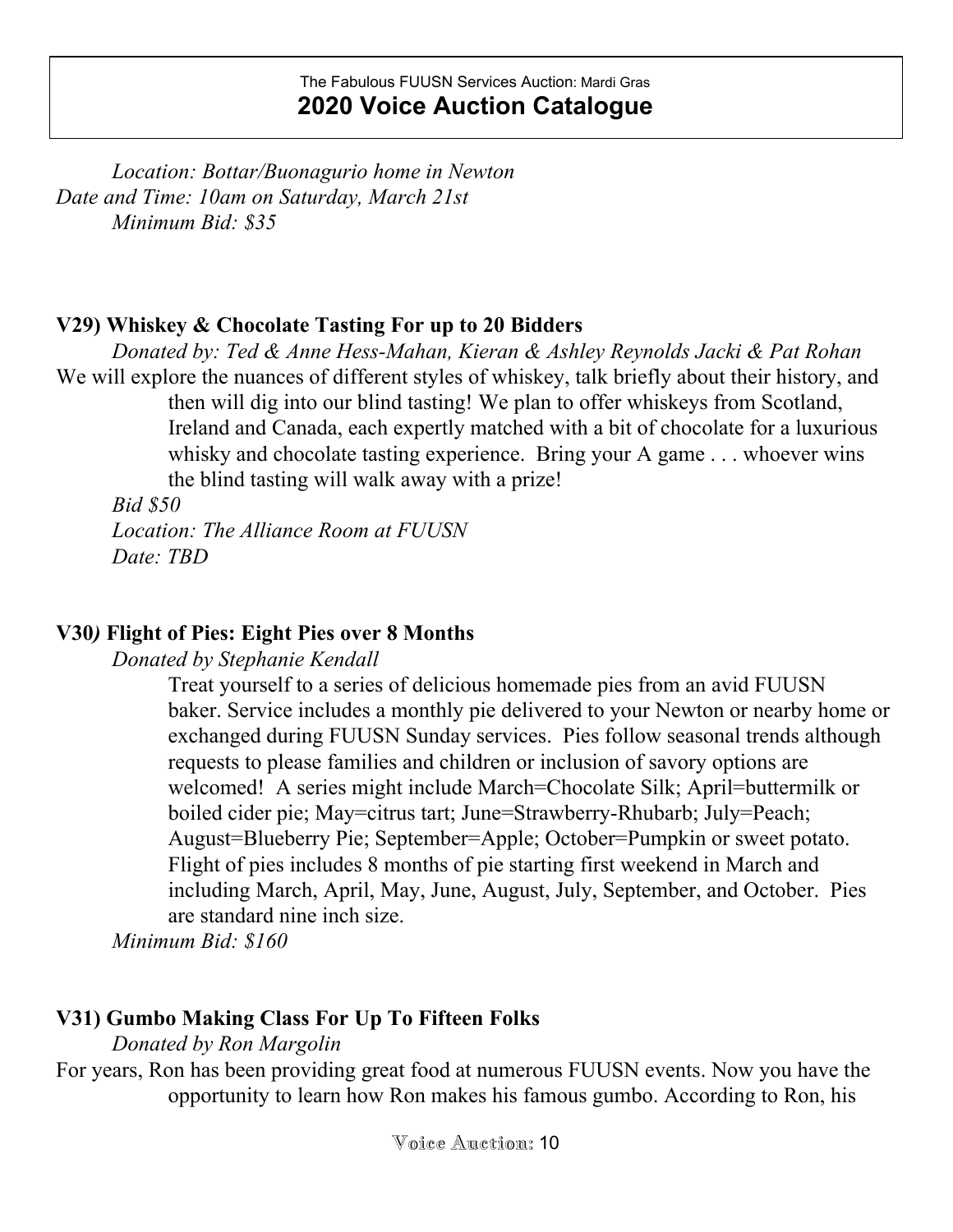*Location: Bottar/Buonagurio home in Newton Date and Time: 10am on Saturday, March 21st Minimum Bid: \$35*

#### **V29) Whiskey & Chocolate Tasting For up to 20 Bidders**

*Donated by: Ted & Anne Hess-Mahan, Kieran & Ashley Reynolds Jacki & Pat Rohan* We will explore the nuances of different styles of whiskey, talk briefly about their history, and then will dig into our blind tasting! We plan to offer whiskeys from Scotland, Ireland and Canada, each expertly matched with a bit of chocolate for a luxurious whisky and chocolate tasting experience. Bring your A game . . . whoever wins the blind tasting will walk away with a prize!

*Bid \$50*

*Location: The Alliance Room at FUUSN Date: TBD*

## **V30***)* **Flight of Pies: Eight Pies over 8 Months**

*Donated by Stephanie Kendall*

Treat yourself to a series of delicious homemade pies from an avid FUUSN baker. Service includes a monthly pie delivered to your Newton or nearby home or exchanged during FUUSN Sunday services. Pies follow seasonal trends although requests to please families and children or inclusion of savory options are welcomed! A series might include March=Chocolate Silk; April=buttermilk or boiled cider pie; May=citrus tart; June=Strawberry-Rhubarb; July=Peach; August=Blueberry Pie; September=Apple; October=Pumpkin or sweet potato. Flight of pies includes 8 months of pie starting first weekend in March and including March, April, May, June, August, July, September, and October. Pies are standard nine inch size.

*Minimum Bid: \$160*

# **V31) Gumbo Making Class For Up To Fifteen Folks**

*Donated by Ron Margolin*

For years, Ron has been providing great food at numerous FUUSN events. Now you have the opportunity to learn how Ron makes his famous gumbo. According to Ron, his